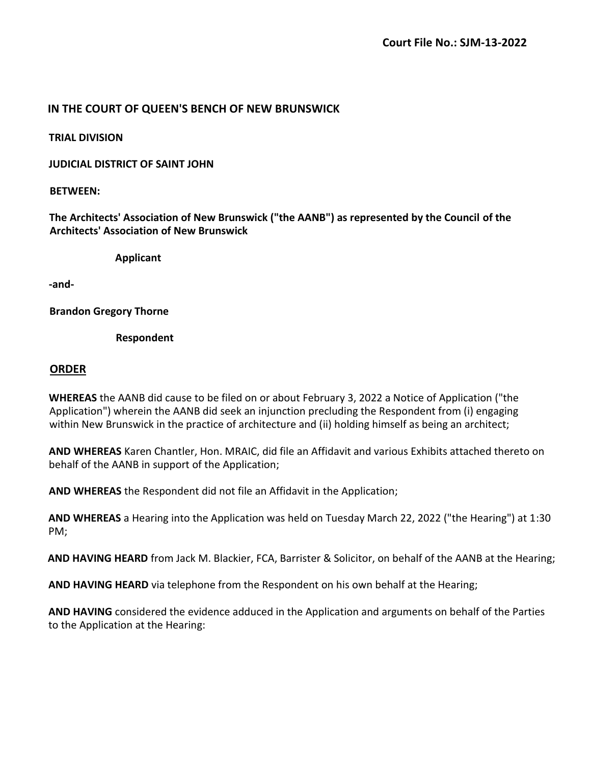## **IN THE COURT OF QUEEN'S BENCH OF NEW BRUNSWICK**

**TRIAL DIVISION**

**JUDICIAL DISTRICT OF SAINT JOHN**

## **BETWEEN:**

**The Architects' Association of New Brunswick ("the AANB") as represented by the Council of the Architects' Association of New Brunswick**

**Applicant**

**-and-**

**Brandon Gregory Thorne**

**Respondent**

## **ORDER**

**WHEREAS** the AANB did cause to be filed on or about February 3, 2022 a Notice of Application ("the Application") wherein the AANB did seek an injunction precluding the Respondent from (i) engaging within New Brunswick in the practice of architecture and (ii) holding himself as being an architect;

**AND WHEREAS** Karen Chantler, Hon. MRAIC, did file an Affidavit and various Exhibits attached thereto on behalf of the AANB in support of the Application;

**AND WHEREAS** the Respondent did not file an Affidavit in the Application;

**AND WHEREAS** a Hearing into the Application was held on Tuesday March 22, 2022 ("the Hearing") at 1:30 PM;

**AND HAVING HEARD** from Jack M. Blackier, FCA, Barrister & Solicitor, on behalf of the AANB at the Hearing;

**AND HAVING HEARD** via telephone from the Respondent on his own behalf at the Hearing;

**AND HAVING** considered the evidence adduced in the Application and arguments on behalf of the Parties to the Application at the Hearing: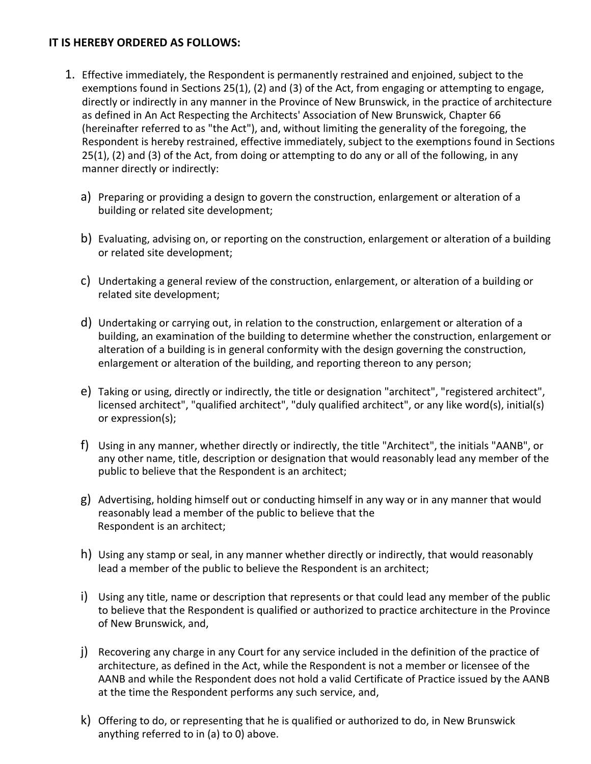## **IT IS HEREBY ORDERED AS FOLLOWS:**

- 1. Effective immediately, the Respondent is permanently restrained and enjoined, subject to the exemptions found in Sections 25(1), (2) and (3) of the Act, from engaging or attempting to engage, directly or indirectly in any manner in the Province of New Brunswick, in the practice of architecture as defined in An Act Respecting the Architects' Association of New Brunswick, Chapter 66 (hereinafter referred to as "the Act"), and, without limiting the generality of the foregoing, the Respondent is hereby restrained, effective immediately, subject to the exemptions found in Sections 25(1), (2) and (3) of the Act, from doing or attempting to do any or all of the following, in any manner directly or indirectly:
	- a) Preparing or providing a design to govern the construction, enlargement or alteration of a building or related site development;
	- b) Evaluating, advising on, or reporting on the construction, enlargement or alteration of a building or related site development;
	- c) Undertaking a general review of the construction, enlargement, or alteration of a building or related site development;
	- d) Undertaking or carrying out, in relation to the construction, enlargement or alteration of a building, an examination of the building to determine whether the construction, enlargement or alteration of a building is in general conformity with the design governing the construction, enlargement or alteration of the building, and reporting thereon to any person;
	- e) Taking or using, directly or indirectly, the title or designation "architect", "registered architect", licensed architect", "qualified architect", "duly qualified architect", or any like word(s), initial(s) or expression(s);
	- f) Using in any manner, whether directly or indirectly, the title "Architect", the initials "AANB", or any other name, title, description or designation that would reasonably lead any member of the public to believe that the Respondent is an architect;
	- g) Advertising, holding himself out or conducting himself in any way or in any manner that would reasonably lead a member of the public to believe that the Respondent is an architect;
	- h) Using any stamp or seal, in any manner whether directly or indirectly, that would reasonably lead a member of the public to believe the Respondent is an architect;
	- i) Using any title, name or description that represents or that could lead any member of the public to believe that the Respondent is qualified or authorized to practice architecture in the Province of New Brunswick, and,
	- j) Recovering any charge in any Court for any service included in the definition of the practice of architecture, as defined in the Act, while the Respondent is not a member or licensee of the AANB and while the Respondent does not hold a valid Certificate of Practice issued by the AANB at the time the Respondent performs any such service, and,
	- k) Offering to do, or representing that he is qualified or authorized to do, in New Brunswick anything referred to in (a) to 0) above.